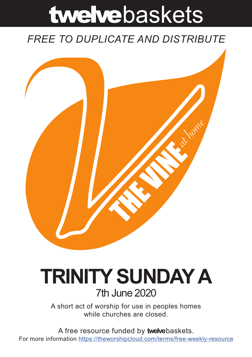# twelvebaskets

### *FREE TO DUPLICATE AND DISTRIBUTE*



## **TRINITY SUNDAY A** 7th June 2020

A short act of worship for use in peoples homes while churches are closed.

A free resource funded by **twelve**baskets. For more information https://theworshipcloud.com/terms/free-weekly-resource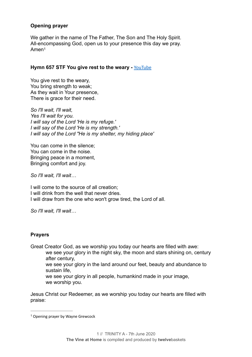#### **Opening prayer**

<span id="page-1-1"></span>We gather in the name of The Father, The Son and The Holy Spirit. All-encompassing God, open us to your presence this day we pray. Ame[n1](#page-1-0)

#### **Hymn 657 STF You give rest to the weary -** [YouTube](https://www.youtube.com/watch?v=qjNDrwapYyQ)

You give rest to the weary, You bring strength to weak; As they wait in Your presence, There is grace for their need.

*So I'll wait, I'll wait, Yes I'll wait for you. I will say of the Lord 'He is my refuge.' I will say of the Lord 'He is my strength.' I will say of the Lord "He is my shelter, my hiding place'* 

You can come in the silence; You can come in the noise. Bringing peace in a moment, Bringing comfort and joy.

*So I'll wait, I'll wait…* 

I will come to the source of all creation; I will drink from the well that never dries. I will draw from the one who won't grow tired, the Lord of all.

*So I'll wait, I'll wait…* 

#### **Prayers**

Great Creator God, as we worship you today our hearts are filled with awe:

we see your glory in the night sky, the moon and stars shining on, century after century,

we see your glory in the land around our feet, beauty and abundance to sustain life,

we see your glory in all people, humankind made in your image, we worship you.

Jesus Christ our Redeemer, as we worship you today our hearts are filled with praise:

<span id="page-1-0"></span><sup>&</sup>lt;sup>[1](#page-1-1)</sup> Opening prayer by Wayne Grewcock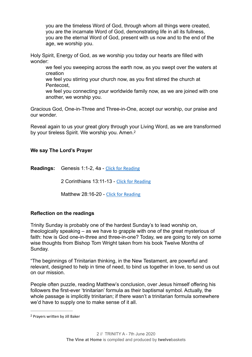you are the timeless Word of God, through whom all things were created, you are the incarnate Word of God, demonstrating life in all its fullness, you are the eternal Word of God, present with us now and to the end of the age, we worship you.

Holy Spirit, Energy of God, as we worship you today our hearts are filled with wonder:

we feel you sweeping across the earth now, as you swept over the waters at creation

we feel you stirring your church now, as you first stirred the church at Pentecost,

we feel you connecting your worldwide family now, as we are joined with one another, we worship you.

Gracious God, One-in-Three and Three-in-One, accept our worship, our praise and our wonder.

Reveal again to us your great glory through your Living Word, as we are transformed by your tireless Spirit. We worship you. Amen.<sup>[2](#page-2-0)</sup>

#### **We say The Lord's Prayer**

**Readings:** Genesis 1:1-2, 4a - [Click for Reading](https://www.biblegateway.com/passage/?search=Genesis+1:1-2,+4a&version=NRSV)

<span id="page-2-1"></span>2 Corinthians 13:11-13 - [Click for Reading](https://www.biblegateway.com/passage/?search=2+Corinthians+13:11-13&version=NRSV)

Matthew 28:16-20 - [Click for Reading](https://www.biblegateway.com/passage/?search=+Matthew+28:16-20&version=NRSV)

#### **Reflection on the readings**

Trinity Sunday is probably one of the hardest Sunday's to lead worship on, theologically speaking – as we have to grapple with one of the great mysterious of faith: how is God one-in-three and three-in-one? Today, we are going to rely on some wise thoughts from Bishop Tom Wright taken from his book Twelve Months of Sunday.

"The beginnings of Trinitarian thinking, in the New Testament, are powerful and relevant, designed to help in time of need, to bind us together in love, to send us out on our mission.

People often puzzle, reading Matthew's conclusion, over Jesus himself offering his followers the first-ever 'trinitarian' formula as their baptismal symbol. Actually, the whole passage is implicitly trinitarian; if there wasn't a trinitarian formula somewhere we'd have to supply one to make sense of it all.

<span id="page-2-0"></span><sup>&</sup>lt;sup>[2](#page-2-1)</sup> Prayers written by Jill Baker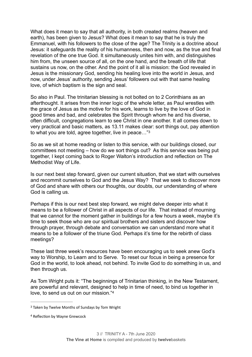What does it mean to say that all authority, in both created realms (heaven and earth), has been given to Jesus? What does it mean to say that he is truly the Emmanuel, with his followers to the close of the age? The Trinity is a doctrine about Jesus: it safeguards the reality of his humanness, then and now, as the true and final revelation of the one true God. It simultaneously unites him with, and distinguishes him from, the unseen source of all, on the one hand, and the breath of life that sustains us now, on the other. And the point of it all is mission: the God revealed in Jesus is the missionary God, sending his healing love into the world in Jesus, and now, under Jesus' authority, sending Jesus' followers out with that same healing love, of which baptism is the sign and seal.

So also in Paul. The trinitarian blessing is not bolted on to 2 Corinthians as an afterthought. It arises from the inner logic of the whole letter, as Paul wrestles with the grace of Jesus as the motive for his work, learns to live by the love of God in good times and bad, and celebrates the Spirit through whom he and his diverse, often difficult, congregations learn to see Christ in one another. It all comes down to very practical and basic matters, as 13.11 makes clear: sort things out, pay attention to what you are told, agree together, live in peace…["3](#page-3-0)

<span id="page-3-2"></span>So as we sit at home reading or listen to this service, with our buildings closed, our committees not meeting – how do we sort things out? As this service was being put together, I kept coming back to Roger Walton's introduction and reflection on The Methodist Way of Life.

Is our next best step forward, given our current situation, that we start with ourselves and recommit ourselves to God and the Jesus Way? That we seek to discover more of God and share with others our thoughts, our doubts, our understanding of where God is calling us.

Perhaps if this is our next best step forward, we might delve deeper into what it means to be a follower of Christ in all aspects of our life. That instead of mourning that we cannot for the moment gather in buildings for a few hours a week, maybe it's time to seek those who are our spiritual brothers and sisters and discover how through prayer, through debate and conversation we can understand more what it means to be a follower of the triune God. Perhaps it's time for the rebirth of class meetings?

These last three week's resources have been encouraging us to seek anew God's way to Worship, to Learn and to Serve. To reset our focus in being a presence for God in the world, to look ahead, not behind. To invite God to do something in us, and then through us.

<span id="page-3-3"></span>As Tom Wright puts it: "The beginnings of Trinitarian thinking, in the New Testament, are powerful and relevant, designed to help in time of need, to bind us together in love, to send us out on our mission."[4](#page-3-1)

<span id="page-3-0"></span><sup>&</sup>lt;sup>[3](#page-3-2)</sup> Taken by Twelve Months of Sundays by Tom Wright

<span id="page-3-1"></span><sup>&</sup>lt;sup>[4](#page-3-3)</sup> Reflection by Wayne Grewcock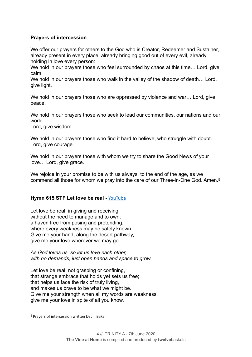#### **Prayers of intercession**

We offer our prayers for others to the God who is Creator. Redeemer and Sustainer, already present in every place, already bringing good out of every evil, already holding in love every person:

We hold in our prayers those who feel surrounded by chaos at this time... Lord, give calm.

We hold in our prayers those who walk in the valley of the shadow of death... Lord, give light.

We hold in our prayers those who are oppressed by violence and war... Lord, give peace.

We hold in our prayers those who seek to lead our communities, our nations and our world…

Lord, give wisdom.

We hold in our prayers those who find it hard to believe, who struggle with doubt... Lord, give courage.

We hold in our prayers those with whom we try to share the Good News of your love… Lord, give grace.

<span id="page-4-1"></span>We rejoice in your promise to be with us always, to the end of the age, as we commend all those for whom we pray into the care of our Three-in-One God. Amen[.5](#page-4-0)

#### **Hymn 615 STF Let love be real - [YouTube](https://www.youtube.com/watch?v=SkBAxZw5NxU)**

Let love be real, in giving and receiving, without the need to manage and to own; a haven free from posing and pretending, where every weakness may be safely known. Give me your hand, along the desert pathway, give me your love wherever we may go.

*As God loves us, so let us love each other, with no demands, just open hands and space to grow.* 

Let love be real, not grasping or confining, that strange embrace that holds yet sets us free; that helps us face the risk of truly living, and makes us brave to be what we might be. Give me your strength when all my words are weakness, give me your love in spite of all you know.

<span id="page-4-0"></span><sup>&</sup>lt;sup>[5](#page-4-1)</sup> Prayers of intercession written by Jill Baker